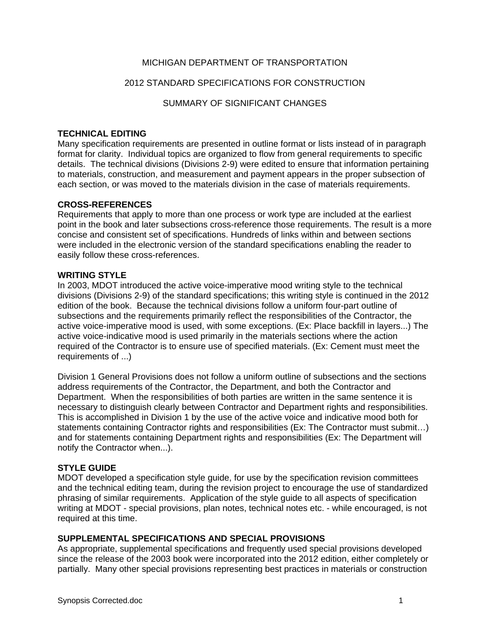# MICHIGAN DEPARTMENT OF TRANSPORTATION

# 2012 STANDARD SPECIFICATIONS FOR CONSTRUCTION

SUMMARY OF SIGNIFICANT CHANGES

# **TECHNICAL EDITING**

Many specification requirements are presented in outline format or lists instead of in paragraph format for clarity. Individual topics are organized to flow from general requirements to specific details. The technical divisions (Divisions 2-9) were edited to ensure that information pertaining to materials, construction, and measurement and payment appears in the proper subsection of each section, or was moved to the materials division in the case of materials requirements.

# **CROSS-REFERENCES**

Requirements that apply to more than one process or work type are included at the earliest point in the book and later subsections cross-reference those requirements. The result is a more concise and consistent set of specifications. Hundreds of links within and between sections were included in the electronic version of the standard specifications enabling the reader to easily follow these cross-references.

# **WRITING STYLE**

In 2003, MDOT introduced the active voice-imperative mood writing style to the technical divisions (Divisions 2-9) of the standard specifications; this writing style is continued in the 2012 edition of the book. Because the technical divisions follow a uniform four-part outline of subsections and the requirements primarily reflect the responsibilities of the Contractor, the active voice-imperative mood is used, with some exceptions. (Ex: Place backfill in layers...) The active voice-indicative mood is used primarily in the materials sections where the action required of the Contractor is to ensure use of specified materials. (Ex: Cement must meet the requirements of ...)

Division 1 General Provisions does not follow a uniform outline of subsections and the sections address requirements of the Contractor, the Department, and both the Contractor and Department. When the responsibilities of both parties are written in the same sentence it is necessary to distinguish clearly between Contractor and Department rights and responsibilities. This is accomplished in Division 1 by the use of the active voice and indicative mood both for statements containing Contractor rights and responsibilities (Ex: The Contractor must submit...) and for statements containing Department rights and responsibilities (Ex: The Department will notify the Contractor when...).

# **STYLE GUIDE**

MDOT developed a specification style guide, for use by the specification revision committees and the technical editing team, during the revision project to encourage the use of standardized phrasing of similar requirements. Application of the style guide to all aspects of specification writing at MDOT - special provisions, plan notes, technical notes etc. - while encouraged, is not required at this time.

# **SUPPLEMENTAL SPECIFICATIONS AND SPECIAL PROVISIONS**

As appropriate, supplemental specifications and frequently used special provisions developed since the release of the 2003 book were incorporated into the 2012 edition, either completely or partially. Many other special provisions representing best practices in materials or construction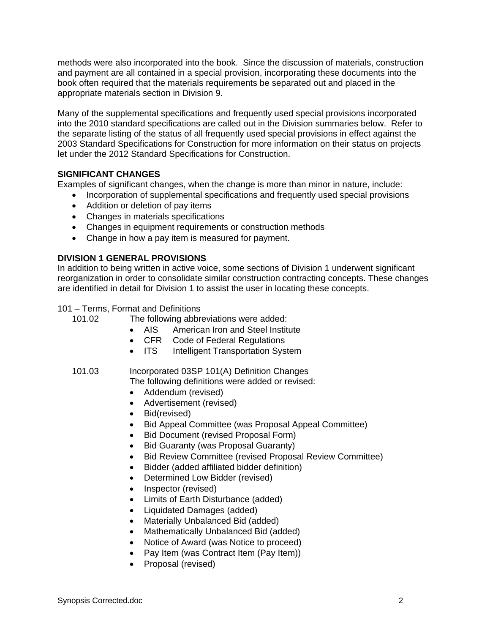methods were also incorporated into the book. Since the discussion of materials, construction and payment are all contained in a special provision, incorporating these documents into the book often required that the materials requirements be separated out and placed in the appropriate materials section in Division 9.

Many of the supplemental specifications and frequently used special provisions incorporated into the 2010 standard specifications are called out in the Division summaries below. Refer to the separate listing of the status of all frequently used special provisions in effect against the 2003 Standard Specifications for Construction for more information on their status on projects let under the 2012 Standard Specifications for Construction.

# **SIGNIFICANT CHANGES**

Examples of significant changes, when the change is more than minor in nature, include:

- Incorporation of supplemental specifications and frequently used special provisions
	- Addition or deletion of pay items
- Changes in materials specifications
- Changes in equipment requirements or construction methods
- Change in how a pay item is measured for payment.

# **DIVISION 1 GENERAL PROVISIONS**

In addition to being written in active voice, some sections of Division 1 underwent significant reorganization in order to consolidate similar construction contracting concepts. These changes are identified in detail for Division 1 to assist the user in locating these concepts.

101 – Terms, Format and Definitions

- 101.02 The following abbreviations were added:
	- AIS American Iron and Steel Institute
	- CFR Code of Federal Regulations
	- ITS Intelligent Transportation System
- 101.03 Incorporated 03SP 101(A) Definition Changes

The following definitions were added or revised:

- Addendum (revised)
- Advertisement (revised)
- Bid(revised)
- Bid Appeal Committee (was Proposal Appeal Committee)
- Bid Document (revised Proposal Form)
- Bid Guaranty (was Proposal Guaranty)
- Bid Review Committee (revised Proposal Review Committee)
- Bidder (added affiliated bidder definition)
- Determined Low Bidder (revised)
- Inspector (revised)
- Limits of Earth Disturbance (added)
- Liquidated Damages (added)
- Materially Unbalanced Bid (added)
- Mathematically Unbalanced Bid (added)
- Notice of Award (was Notice to proceed)
- Pay Item (was Contract Item (Pay Item))
- Proposal (revised)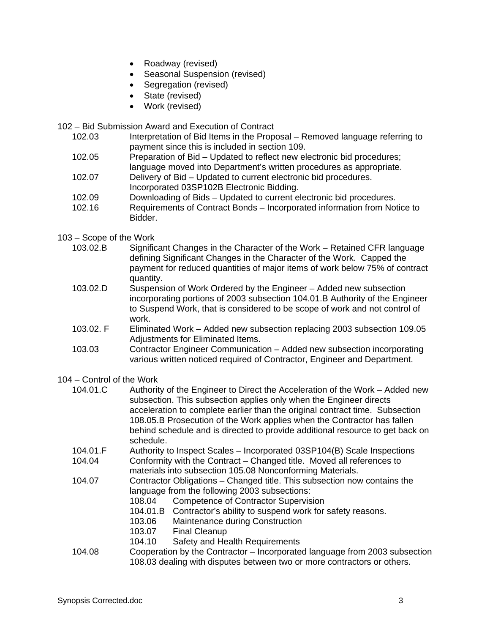- Roadway (revised)
- Seasonal Suspension (revised)
- Segregation (revised)
- State (revised)
- Work (revised)

102 – Bid Submission Award and Execution of Contract

- 102.03 Interpretation of Bid Items in the Proposal Removed language referring to payment since this is included in section 109.
- 102.05 Preparation of Bid Updated to reflect new electronic bid procedures; language moved into Department's written procedures as appropriate.
- 102.07 Delivery of Bid Updated to current electronic bid procedures. Incorporated 03SP102B Electronic Bidding.
- 102.09 Downloading of Bids Updated to current electronic bid procedures.
- 102.16 Requirements of Contract Bonds Incorporated information from Notice to Bidder.
- 103 Scope of the Work
	- 103.02.B Significant Changes in the Character of the Work Retained CFR language defining Significant Changes in the Character of the Work. Capped the payment for reduced quantities of major items of work below 75% of contract quantity.
	- 103.02.D Suspension of Work Ordered by the Engineer Added new subsection incorporating portions of 2003 subsection 104.01.B Authority of the Engineer to Suspend Work, that is considered to be scope of work and not control of work.
	- 103.02. F Eliminated Work Added new subsection replacing 2003 subsection 109.05 Adjustments for Eliminated Items.
	- 103.03 Contractor Engineer Communication Added new subsection incorporating various written noticed required of Contractor, Engineer and Department.

# 104 – Control of the Work

| 104.01.C | Authority of the Engineer to Direct the Acceleration of the Work – Added new<br>subsection. This subsection applies only when the Engineer directs<br>acceleration to complete earlier than the original contract time. Subsection<br>108.05.B Prosecution of the Work applies when the Contractor has fallen<br>behind schedule and is directed to provide additional resource to get back on<br>schedule. |                                                          |
|----------|-------------------------------------------------------------------------------------------------------------------------------------------------------------------------------------------------------------------------------------------------------------------------------------------------------------------------------------------------------------------------------------------------------------|----------------------------------------------------------|
| 104.01.F | Authority to Inspect Scales – Incorporated 03SP104(B) Scale Inspections                                                                                                                                                                                                                                                                                                                                     |                                                          |
| 104.04   | Conformity with the Contract – Changed title. Moved all references to<br>materials into subsection 105.08 Nonconforming Materials.                                                                                                                                                                                                                                                                          |                                                          |
| 104.07   | Contractor Obligations – Changed title. This subsection now contains the<br>language from the following 2003 subsections:                                                                                                                                                                                                                                                                                   |                                                          |
|          | 108.04                                                                                                                                                                                                                                                                                                                                                                                                      | <b>Competence of Contractor Supervision</b>              |
|          | 104.01.B                                                                                                                                                                                                                                                                                                                                                                                                    | Contractor's ability to suspend work for safety reasons. |
|          | 103.06                                                                                                                                                                                                                                                                                                                                                                                                      | Maintenance during Construction                          |
|          | 103.07                                                                                                                                                                                                                                                                                                                                                                                                      | <b>Final Cleanup</b>                                     |
|          | 104.10                                                                                                                                                                                                                                                                                                                                                                                                      | Safety and Health Requirements                           |

104.08 Cooperation by the Contractor – Incorporated language from 2003 subsection 108.03 dealing with disputes between two or more contractors or others.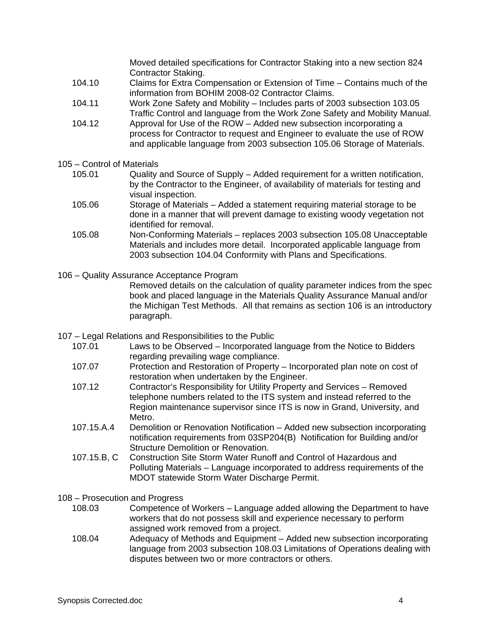Moved detailed specifications for Contractor Staking into a new section 824 Contractor Staking.

- 104.10 Claims for Extra Compensation or Extension of Time Contains much of the information from BOHIM 2008-02 Contractor Claims.
- 104.11 Work Zone Safety and Mobility Includes parts of 2003 subsection 103.05 Traffic Control and language from the Work Zone Safety and Mobility Manual.
- 104.12 Approval for Use of the ROW Added new subsection incorporating a process for Contractor to request and Engineer to evaluate the use of ROW and applicable language from 2003 subsection 105.06 Storage of Materials.
- 105 Control of Materials
	- 105.01 Quality and Source of Supply Added requirement for a written notification, by the Contractor to the Engineer, of availability of materials for testing and visual inspection.
	- 105.06 Storage of Materials Added a statement requiring material storage to be done in a manner that will prevent damage to existing woody vegetation not identified for removal.
	- 105.08 Non-Conforming Materials replaces 2003 subsection 105.08 Unacceptable Materials and includes more detail. Incorporated applicable language from 2003 subsection 104.04 Conformity with Plans and Specifications.
- 106 Quality Assurance Acceptance Program

 Removed details on the calculation of quality parameter indices from the spec book and placed language in the Materials Quality Assurance Manual and/or the Michigan Test Methods. All that remains as section 106 is an introductory paragraph.

- 107 Legal Relations and Responsibilities to the Public
	- 107.01 Laws to be Observed Incorporated language from the Notice to Bidders regarding prevailing wage compliance.
	- 107.07 Protection and Restoration of Property Incorporated plan note on cost of restoration when undertaken by the Engineer.
	- 107.12 Contractor's Responsibility for Utility Property and Services Removed telephone numbers related to the ITS system and instead referred to the Region maintenance supervisor since ITS is now in Grand, University, and Metro.
	- 107.15.A.4 Demolition or Renovation Notification Added new subsection incorporating notification requirements from 03SP204(B) Notification for Building and/or Structure Demolition or Renovation.
	- 107.15.B, C Construction Site Storm Water Runoff and Control of Hazardous and Polluting Materials – Language incorporated to address requirements of the MDOT statewide Storm Water Discharge Permit.
- 108 Prosecution and Progress
	- 108.03 Competence of Workers Language added allowing the Department to have workers that do not possess skill and experience necessary to perform assigned work removed from a project.
	- 108.04 Adequacy of Methods and Equipment Added new subsection incorporating language from 2003 subsection 108.03 Limitations of Operations dealing with disputes between two or more contractors or others.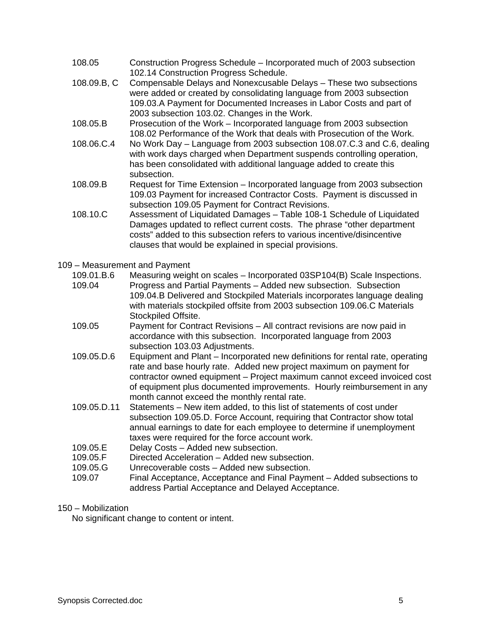- 108.05 Construction Progress Schedule Incorporated much of 2003 subsection 102.14 Construction Progress Schedule.
- 108.09.B, C Compensable Delays and Nonexcusable Delays These two subsections were added or created by consolidating language from 2003 subsection 109.03.A Payment for Documented Increases in Labor Costs and part of 2003 subsection 103.02. Changes in the Work.
- 108.05.B Prosecution of the Work Incorporated language from 2003 subsection 108.02 Performance of the Work that deals with Prosecution of the Work.
- 108.06.C.4 No Work Day Language from 2003 subsection 108.07.C.3 and C.6, dealing with work days charged when Department suspends controlling operation, has been consolidated with additional language added to create this subsection.
- 108.09.B Request for Time Extension Incorporated language from 2003 subsection 109.03 Payment for increased Contractor Costs. Payment is discussed in subsection 109.05 Payment for Contract Revisions.
- 108.10.C Assessment of Liquidated Damages Table 108-1 Schedule of Liquidated Damages updated to reflect current costs. The phrase "other department costs" added to this subsection refers to various incentive/disincentive clauses that would be explained in special provisions.

### 109 – Measurement and Payment

- 109.01.B.6 Measuring weight on scales Incorporated 03SP104(B) Scale Inspections.
- 109.04 Progress and Partial Payments Added new subsection. Subsection 109.04.B Delivered and Stockpiled Materials incorporates language dealing with materials stockpiled offsite from 2003 subsection 109.06.C Materials Stockpiled Offsite.
- 109.05 Payment for Contract Revisions All contract revisions are now paid in accordance with this subsection. Incorporated language from 2003 subsection 103.03 Adjustments.
- 109.05.D.6 Equipment and Plant Incorporated new definitions for rental rate, operating rate and base hourly rate. Added new project maximum on payment for contractor owned equipment – Project maximum cannot exceed invoiced cost of equipment plus documented improvements. Hourly reimbursement in any month cannot exceed the monthly rental rate.
- 109.05.D.11 Statements New item added, to this list of statements of cost under subsection 109.05.D. Force Account, requiring that Contractor show total annual earnings to date for each employee to determine if unemployment taxes were required for the force account work.
- 109.05.E Delay Costs Added new subsection.
- 109.05.F Directed Acceleration Added new subsection.
- 109.05.G Unrecoverable costs Added new subsection.
- 109.07 Final Acceptance, Acceptance and Final Payment Added subsections to address Partial Acceptance and Delayed Acceptance.

# 150 – Mobilization

No significant change to content or intent.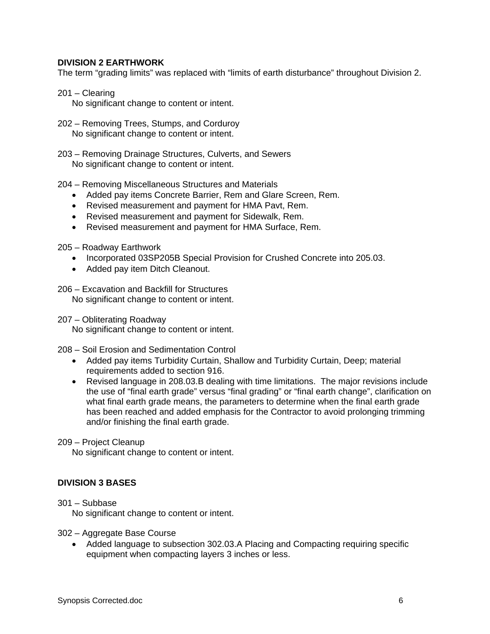# **DIVISION 2 EARTHWORK**

The term "grading limits" was replaced with "limits of earth disturbance" throughout Division 2.

- 201 Clearing
	- No significant change to content or intent.
- 202 Removing Trees, Stumps, and Corduroy No significant change to content or intent.
- 203 Removing Drainage Structures, Culverts, and Sewers No significant change to content or intent.
- 204 Removing Miscellaneous Structures and Materials
	- Added pay items Concrete Barrier, Rem and Glare Screen, Rem.
	- Revised measurement and payment for HMA Pavt, Rem.
	- Revised measurement and payment for Sidewalk, Rem.
	- Revised measurement and payment for HMA Surface, Rem.

205 – Roadway Earthwork

- Incorporated 03SP205B Special Provision for Crushed Concrete into 205.03.
- Added pay item Ditch Cleanout.
- 206 Excavation and Backfill for Structures No significant change to content or intent.

207 – Obliterating Roadway

No significant change to content or intent.

208 – Soil Erosion and Sedimentation Control

- Added pay items Turbidity Curtain, Shallow and Turbidity Curtain, Deep; material requirements added to section 916.
- Revised language in 208.03.B dealing with time limitations. The major revisions include the use of "final earth grade" versus "final grading" or "final earth change", clarification on what final earth grade means, the parameters to determine when the final earth grade has been reached and added emphasis for the Contractor to avoid prolonging trimming and/or finishing the final earth grade.

#### 209 – Project Cleanup

No significant change to content or intent.

#### **DIVISION 3 BASES**

301 – Subbase

No significant change to content or intent.

- 302 Aggregate Base Course
	- Added language to subsection 302.03.A Placing and Compacting requiring specific equipment when compacting layers 3 inches or less.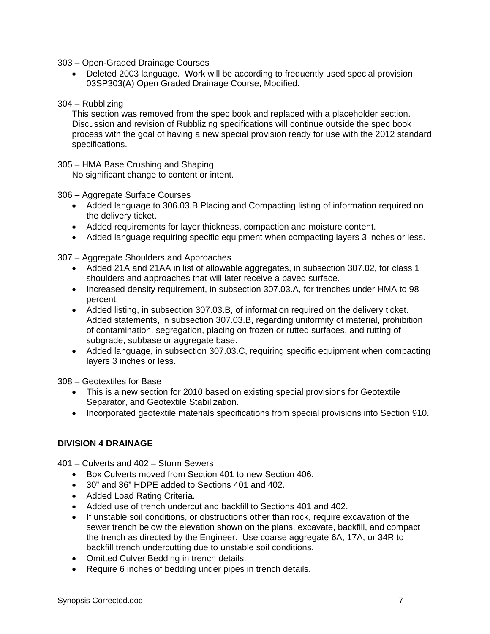303 – Open-Graded Drainage Courses

• Deleted 2003 language. Work will be according to frequently used special provision 03SP303(A) Open Graded Drainage Course, Modified.

# 304 – Rubblizing

This section was removed from the spec book and replaced with a placeholder section. Discussion and revision of Rubblizing specifications will continue outside the spec book process with the goal of having a new special provision ready for use with the 2012 standard specifications.

# 305 – HMA Base Crushing and Shaping

No significant change to content or intent.

# 306 – Aggregate Surface Courses

- Added language to 306.03.B Placing and Compacting listing of information required on the delivery ticket.
- Added requirements for layer thickness, compaction and moisture content.
- Added language requiring specific equipment when compacting layers 3 inches or less.

307 – Aggregate Shoulders and Approaches

- Added 21A and 21AA in list of allowable aggregates, in subsection 307.02, for class 1 shoulders and approaches that will later receive a paved surface.
- Increased density requirement, in subsection 307.03.A, for trenches under HMA to 98 percent.
- Added listing, in subsection 307.03.B, of information required on the delivery ticket. Added statements, in subsection 307.03.B, regarding uniformity of material, prohibition of contamination, segregation, placing on frozen or rutted surfaces, and rutting of subgrade, subbase or aggregate base.
- Added language, in subsection 307.03.C, requiring specific equipment when compacting layers 3 inches or less.

308 – Geotextiles for Base

- This is a new section for 2010 based on existing special provisions for Geotextile Separator, and Geotextile Stabilization.
- Incorporated geotextile materials specifications from special provisions into Section 910.

# **DIVISION 4 DRAINAGE**

401 – Culverts and 402 – Storm Sewers

- Box Culverts moved from Section 401 to new Section 406.
- 30" and 36" HDPE added to Sections 401 and 402.
- Added Load Rating Criteria.
- Added use of trench undercut and backfill to Sections 401 and 402.
- If unstable soil conditions, or obstructions other than rock, require excavation of the sewer trench below the elevation shown on the plans, excavate, backfill, and compact the trench as directed by the Engineer. Use coarse aggregate 6A, 17A, or 34R to backfill trench undercutting due to unstable soil conditions.
- Omitted Culver Bedding in trench details.
- Require 6 inches of bedding under pipes in trench details.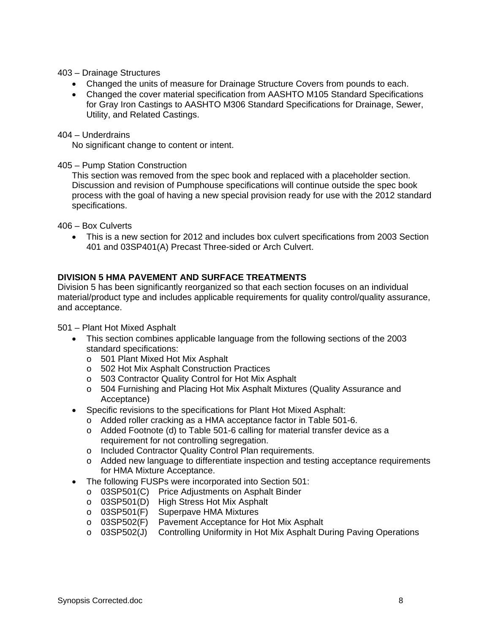### 403 – Drainage Structures

- Changed the units of measure for Drainage Structure Covers from pounds to each.
- Changed the cover material specification from AASHTO M105 Standard Specifications for Gray Iron Castings to AASHTO M306 Standard Specifications for Drainage, Sewer, Utility, and Related Castings.

### 404 – Underdrains

No significant change to content or intent.

### 405 – Pump Station Construction

This section was removed from the spec book and replaced with a placeholder section. Discussion and revision of Pumphouse specifications will continue outside the spec book process with the goal of having a new special provision ready for use with the 2012 standard specifications.

406 – Box Culverts

• This is a new section for 2012 and includes box culvert specifications from 2003 Section 401 and 03SP401(A) Precast Three-sided or Arch Culvert.

# **DIVISION 5 HMA PAVEMENT AND SURFACE TREATMENTS**

Division 5 has been significantly reorganized so that each section focuses on an individual material/product type and includes applicable requirements for quality control/quality assurance, and acceptance.

501 – Plant Hot Mixed Asphalt

- This section combines applicable language from the following sections of the 2003 standard specifications:
	- o 501 Plant Mixed Hot Mix Asphalt
	- o 502 Hot Mix Asphalt Construction Practices
	- o 503 Contractor Quality Control for Hot Mix Asphalt
	- o 504 Furnishing and Placing Hot Mix Asphalt Mixtures (Quality Assurance and Acceptance)
- Specific revisions to the specifications for Plant Hot Mixed Asphalt:
	- o Added roller cracking as a HMA acceptance factor in Table 501-6.
	- o Added Footnote (d) to Table 501-6 calling for material transfer device as a requirement for not controlling segregation.
	- o Included Contractor Quality Control Plan requirements.
	- o Added new language to differentiate inspection and testing acceptance requirements for HMA Mixture Acceptance.
- The following FUSPs were incorporated into Section 501:
	- o 03SP501(C) Price Adjustments on Asphalt Binder
	- o 03SP501(D) High Stress Hot Mix Asphalt
	- o 03SP501(F) Superpave HMA Mixtures
	- o 03SP502(F) Pavement Acceptance for Hot Mix Asphalt
	- o 03SP502(J) Controlling Uniformity in Hot Mix Asphalt During Paving Operations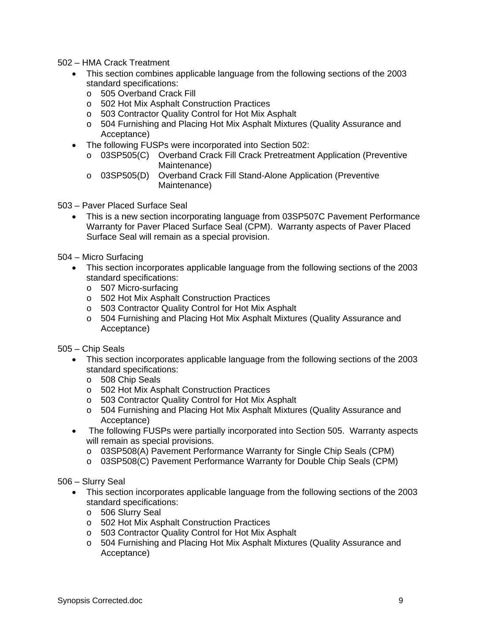# 502 – HMA Crack Treatment

- This section combines applicable language from the following sections of the 2003 standard specifications:
	- o 505 Overband Crack Fill
	- o 502 Hot Mix Asphalt Construction Practices
	- o 503 Contractor Quality Control for Hot Mix Asphalt
	- o 504 Furnishing and Placing Hot Mix Asphalt Mixtures (Quality Assurance and Acceptance)
- The following FUSPs were incorporated into Section 502:
	- o 03SP505(C) Overband Crack Fill Crack Pretreatment Application (Preventive Maintenance)
	- o 03SP505(D) Overband Crack Fill Stand-Alone Application (Preventive Maintenance)
- 503 Paver Placed Surface Seal
	- This is a new section incorporating language from 03SP507C Pavement Performance Warranty for Paver Placed Surface Seal (CPM). Warranty aspects of Paver Placed Surface Seal will remain as a special provision.
- 504 Micro Surfacing
	- This section incorporates applicable language from the following sections of the 2003 standard specifications:
		- o 507 Micro-surfacing
		- o 502 Hot Mix Asphalt Construction Practices
		- o 503 Contractor Quality Control for Hot Mix Asphalt
		- o 504 Furnishing and Placing Hot Mix Asphalt Mixtures (Quality Assurance and Acceptance)
- 505 Chip Seals
	- This section incorporates applicable language from the following sections of the 2003 standard specifications:
		- o 508 Chip Seals
		- o 502 Hot Mix Asphalt Construction Practices
		- o 503 Contractor Quality Control for Hot Mix Asphalt
		- o 504 Furnishing and Placing Hot Mix Asphalt Mixtures (Quality Assurance and Acceptance)
	- The following FUSPs were partially incorporated into Section 505. Warranty aspects will remain as special provisions.
		- o 03SP508(A) Pavement Performance Warranty for Single Chip Seals (CPM)
		- o 03SP508(C) Pavement Performance Warranty for Double Chip Seals (CPM)

506 – Slurry Seal

- This section incorporates applicable language from the following sections of the 2003 standard specifications:
	- o 506 Slurry Seal
	- o 502 Hot Mix Asphalt Construction Practices
	- o 503 Contractor Quality Control for Hot Mix Asphalt
	- o 504 Furnishing and Placing Hot Mix Asphalt Mixtures (Quality Assurance and Acceptance)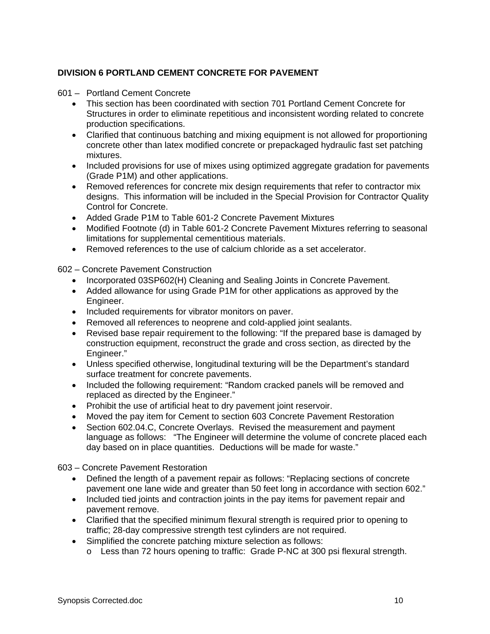# **DIVISION 6 PORTLAND CEMENT CONCRETE FOR PAVEMENT**

- 601 Portland Cement Concrete
	- This section has been coordinated with section 701 Portland Cement Concrete for Structures in order to eliminate repetitious and inconsistent wording related to concrete production specifications.
	- Clarified that continuous batching and mixing equipment is not allowed for proportioning concrete other than latex modified concrete or prepackaged hydraulic fast set patching mixtures.
	- Included provisions for use of mixes using optimized aggregate gradation for pavements (Grade P1M) and other applications.
	- Removed references for concrete mix design requirements that refer to contractor mix designs. This information will be included in the Special Provision for Contractor Quality Control for Concrete.
	- Added Grade P1M to Table 601-2 Concrete Pavement Mixtures
	- Modified Footnote (d) in Table 601-2 Concrete Pavement Mixtures referring to seasonal limitations for supplemental cementitious materials.
	- Removed references to the use of calcium chloride as a set accelerator.

602 – Concrete Pavement Construction

- Incorporated 03SP602(H) Cleaning and Sealing Joints in Concrete Pavement.
- Added allowance for using Grade P1M for other applications as approved by the Engineer.
- Included requirements for vibrator monitors on paver.
- Removed all references to neoprene and cold-applied joint sealants.
- Revised base repair requirement to the following: "If the prepared base is damaged by construction equipment, reconstruct the grade and cross section, as directed by the Engineer."
- Unless specified otherwise, longitudinal texturing will be the Department's standard surface treatment for concrete pavements.
- Included the following requirement: "Random cracked panels will be removed and replaced as directed by the Engineer."
- Prohibit the use of artificial heat to dry pavement joint reservoir.
- Moved the pay item for Cement to section 603 Concrete Pavement Restoration
- Section 602.04.C, Concrete Overlays. Revised the measurement and payment language as follows: "The Engineer will determine the volume of concrete placed each day based on in place quantities. Deductions will be made for waste."

603 – Concrete Pavement Restoration

- Defined the length of a pavement repair as follows: "Replacing sections of concrete pavement one lane wide and greater than 50 feet long in accordance with section 602."
- Included tied joints and contraction joints in the pay items for pavement repair and pavement remove.
- Clarified that the specified minimum flexural strength is required prior to opening to traffic; 28-day compressive strength test cylinders are not required.
- Simplified the concrete patching mixture selection as follows:
	- o Less than 72 hours opening to traffic: Grade P-NC at 300 psi flexural strength.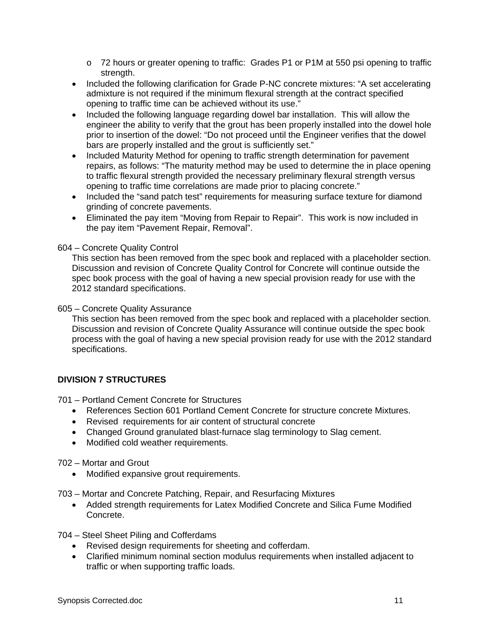- o 72 hours or greater opening to traffic: Grades P1 or P1M at 550 psi opening to traffic strength.
- Included the following clarification for Grade P-NC concrete mixtures: "A set accelerating admixture is not required if the minimum flexural strength at the contract specified opening to traffic time can be achieved without its use."
- Included the following language regarding dowel bar installation. This will allow the engineer the ability to verify that the grout has been properly installed into the dowel hole prior to insertion of the dowel: "Do not proceed until the Engineer verifies that the dowel bars are properly installed and the grout is sufficiently set."
- Included Maturity Method for opening to traffic strength determination for pavement repairs, as follows: "The maturity method may be used to determine the in place opening to traffic flexural strength provided the necessary preliminary flexural strength versus opening to traffic time correlations are made prior to placing concrete."
- Included the "sand patch test" requirements for measuring surface texture for diamond grinding of concrete pavements.
- Eliminated the pay item "Moving from Repair to Repair". This work is now included in the pay item "Pavement Repair, Removal".

# 604 – Concrete Quality Control

This section has been removed from the spec book and replaced with a placeholder section. Discussion and revision of Concrete Quality Control for Concrete will continue outside the spec book process with the goal of having a new special provision ready for use with the 2012 standard specifications.

# 605 – Concrete Quality Assurance

This section has been removed from the spec book and replaced with a placeholder section. Discussion and revision of Concrete Quality Assurance will continue outside the spec book process with the goal of having a new special provision ready for use with the 2012 standard specifications.

# **DIVISION 7 STRUCTURES**

701 – Portland Cement Concrete for Structures

- References Section 601 Portland Cement Concrete for structure concrete Mixtures.
- Revised requirements for air content of structural concrete
- Changed Ground granulated blast-furnace slag terminology to Slag cement.
- Modified cold weather requirements.

702 – Mortar and Grout

• Modified expansive grout requirements.

703 – Mortar and Concrete Patching, Repair, and Resurfacing Mixtures

• Added strength requirements for Latex Modified Concrete and Silica Fume Modified Concrete.

704 – Steel Sheet Piling and Cofferdams

- Revised design requirements for sheeting and cofferdam.
- Clarified minimum nominal section modulus requirements when installed adjacent to traffic or when supporting traffic loads.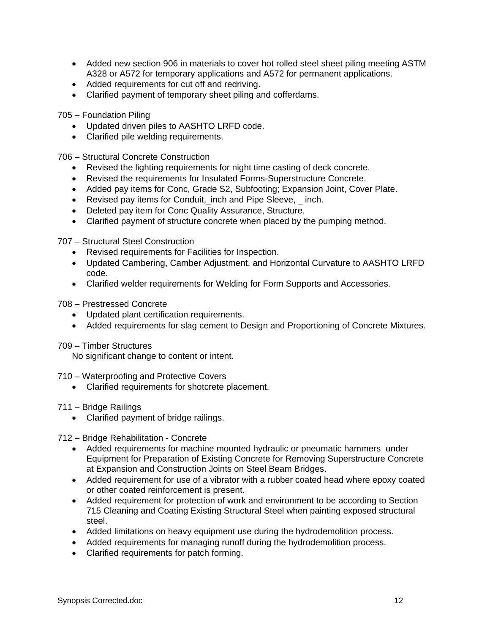- Added new section 906 in materials to cover hot rolled steel sheet piling meeting ASTM A328 or A572 for temporary applications and A572 for permanent applications.
- Added requirements for cut off and redriving.
- Clarified payment of temporary sheet piling and cofferdams.

705 – Foundation Piling

- Updated driven piles to AASHTO LRFD code.
- Clarified pile welding requirements.

706 – Structural Concrete Construction

- Revised the lighting requirements for night time casting of deck concrete.
- Revised the requirements for Insulated Forms-Superstructure Concrete.
- Added pay items for Conc, Grade S2, Subfooting; Expansion Joint, Cover Plate.
- Revised pay items for Conduit, inch and Pipe Sleeve, inch.
- Deleted pay item for Conc Quality Assurance, Structure.
- Clarified payment of structure concrete when placed by the pumping method.

707 – Structural Steel Construction

- Revised requirements for Facilities for Inspection.
- Updated Cambering, Camber Adjustment, and Horizontal Curvature to AASHTO LRFD code.
- Clarified welder requirements for Welding for Form Supports and Accessories.
- 708 Prestressed Concrete
	- Updated plant certification requirements.
	- Added requirements for slag cement to Design and Proportioning of Concrete Mixtures.

709 – Timber Structures

No significant change to content or intent.

710 – Waterproofing and Protective Covers

• Clarified requirements for shotcrete placement.

#### 711 – Bridge Railings

• Clarified payment of bridge railings.

712 – Bridge Rehabilitation - Concrete

- Added requirements for machine mounted hydraulic or pneumatic hammers under Equipment for Preparation of Existing Concrete for Removing Superstructure Concrete at Expansion and Construction Joints on Steel Beam Bridges.
- Added requirement for use of a vibrator with a rubber coated head where epoxy coated or other coated reinforcement is present.
- Added requirement for protection of work and environment to be according to Section 715 Cleaning and Coating Existing Structural Steel when painting exposed structural steel.
- Added limitations on heavy equipment use during the hydrodemolition process.
- Added requirements for managing runoff during the hydrodemolition process.
- Clarified requirements for patch forming.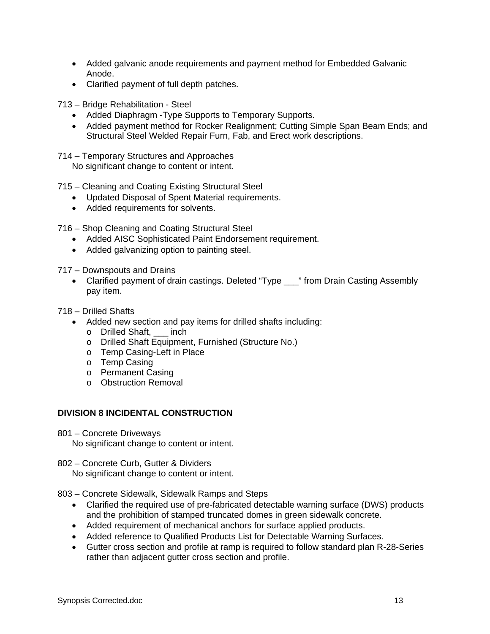- Added galvanic anode requirements and payment method for Embedded Galvanic Anode.
- Clarified payment of full depth patches.
- 713 Bridge Rehabilitation Steel
	- Added Diaphragm -Type Supports to Temporary Supports.
	- Added payment method for Rocker Realignment; Cutting Simple Span Beam Ends; and Structural Steel Welded Repair Furn, Fab, and Erect work descriptions.
- 714 Temporary Structures and Approaches

No significant change to content or intent.

715 – Cleaning and Coating Existing Structural Steel

- Updated Disposal of Spent Material requirements.
- Added requirements for solvents.

716 – Shop Cleaning and Coating Structural Steel

- Added AISC Sophisticated Paint Endorsement requirement.
- Added galvanizing option to painting steel.

717 – Downspouts and Drains

• Clarified payment of drain castings. Deleted "Type \_\_\_" from Drain Casting Assembly pay item.

718 – Drilled Shafts

- Added new section and pay items for drilled shafts including:
	- o Drilled Shaft, \_\_\_ inch
	- o Drilled Shaft Equipment, Furnished (Structure No.)
	- o Temp Casing-Left in Place
	- o Temp Casing
	- o Permanent Casing
	- o Obstruction Removal

# **DIVISION 8 INCIDENTAL CONSTRUCTION**

801 – Concrete Driveways

No significant change to content or intent.

802 – Concrete Curb, Gutter & Dividers No significant change to content or intent.

803 – Concrete Sidewalk, Sidewalk Ramps and Steps

- Clarified the required use of pre-fabricated detectable warning surface (DWS) products and the prohibition of stamped truncated domes in green sidewalk concrete.
- Added requirement of mechanical anchors for surface applied products.
- Added reference to Qualified Products List for Detectable Warning Surfaces.
- Gutter cross section and profile at ramp is required to follow standard plan R-28-Series rather than adjacent gutter cross section and profile.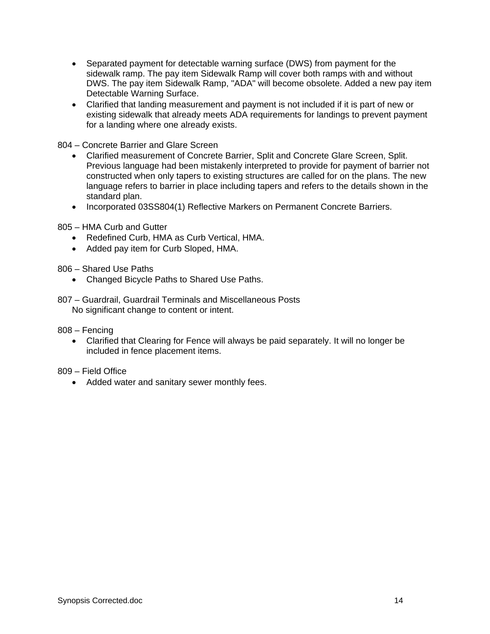- Separated payment for detectable warning surface (DWS) from payment for the sidewalk ramp. The pay item Sidewalk Ramp will cover both ramps with and without DWS. The pay item Sidewalk Ramp, "ADA" will become obsolete. Added a new pay item Detectable Warning Surface.
- Clarified that landing measurement and payment is not included if it is part of new or existing sidewalk that already meets ADA requirements for landings to prevent payment for a landing where one already exists.

804 – Concrete Barrier and Glare Screen

- Clarified measurement of Concrete Barrier, Split and Concrete Glare Screen, Split. Previous language had been mistakenly interpreted to provide for payment of barrier not constructed when only tapers to existing structures are called for on the plans. The new language refers to barrier in place including tapers and refers to the details shown in the standard plan.
- Incorporated 03SS804(1) Reflective Markers on Permanent Concrete Barriers.
- 805 HMA Curb and Gutter
	- Redefined Curb, HMA as Curb Vertical, HMA.
	- Added pay item for Curb Sloped, HMA.

806 – Shared Use Paths

- Changed Bicycle Paths to Shared Use Paths.
- 807 Guardrail, Guardrail Terminals and Miscellaneous Posts No significant change to content or intent.
- 808 Fencing
	- Clarified that Clearing for Fence will always be paid separately. It will no longer be included in fence placement items.

809 – Field Office

• Added water and sanitary sewer monthly fees.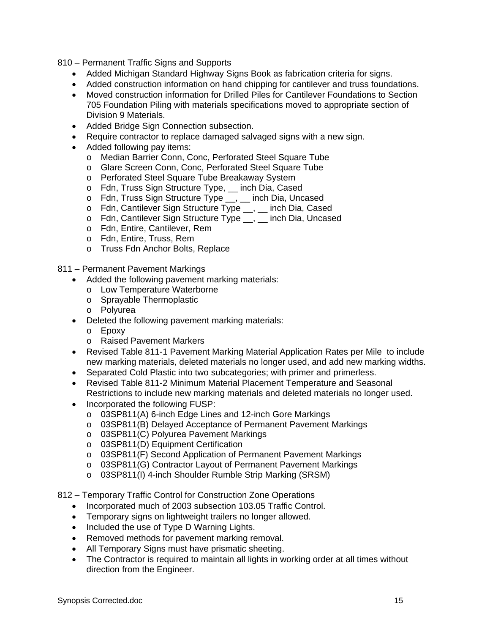810 – Permanent Traffic Signs and Supports

- Added Michigan Standard Highway Signs Book as fabrication criteria for signs.
- Added construction information on hand chipping for cantilever and truss foundations.
- Moved construction information for Drilled Piles for Cantilever Foundations to Section 705 Foundation Piling with materials specifications moved to appropriate section of Division 9 Materials.
- Added Bridge Sign Connection subsection.
- Require contractor to replace damaged salvaged signs with a new sign.
- Added following pay items:
	- o Median Barrier Conn, Conc, Perforated Steel Square Tube
	- o Glare Screen Conn, Conc, Perforated Steel Square Tube
	- o Perforated Steel Square Tube Breakaway System
	- o Fdn, Truss Sign Structure Type, \_\_ inch Dia, Cased
	- o Fdn, Truss Sign Structure Type \_\_, \_\_ inch Dia, Uncased
	- o Fdn, Cantilever Sign Structure Type \_\_, \_\_ inch Dia, Cased
	- o Fdn, Cantilever Sign Structure Type \_\_, \_\_ inch Dia, Uncased
	- o Fdn, Entire, Cantilever, Rem
	- o Fdn, Entire, Truss, Rem
	- o Truss Fdn Anchor Bolts, Replace

811 – Permanent Pavement Markings

- Added the following pavement marking materials:
	- o Low Temperature Waterborne
	- o Sprayable Thermoplastic
	- o Polyurea
- Deleted the following pavement marking materials:
	- o Epoxy
	- o Raised Pavement Markers
- Revised Table 811-1 Pavement Marking Material Application Rates per Mile to include new marking materials, deleted materials no longer used, and add new marking widths.
- Separated Cold Plastic into two subcategories; with primer and primerless.
- Revised Table 811-2 Minimum Material Placement Temperature and Seasonal Restrictions to include new marking materials and deleted materials no longer used.
- Incorporated the following FUSP:
	- o 03SP811(A) 6-inch Edge Lines and 12-inch Gore Markings
	- o 03SP811(B) Delayed Acceptance of Permanent Pavement Markings
	- o 03SP811(C) Polyurea Pavement Markings
	- o 03SP811(D) Equipment Certification
	- o 03SP811(F) Second Application of Permanent Pavement Markings
	- o 03SP811(G) Contractor Layout of Permanent Pavement Markings
	- o 03SP811(I) 4-inch Shoulder Rumble Strip Marking (SRSM)

812 – Temporary Traffic Control for Construction Zone Operations

- Incorporated much of 2003 subsection 103.05 Traffic Control.
- Temporary signs on lightweight trailers no longer allowed.
- Included the use of Type D Warning Lights.
- Removed methods for pavement marking removal.
- All Temporary Signs must have prismatic sheeting.
- The Contractor is required to maintain all lights in working order at all times without direction from the Engineer.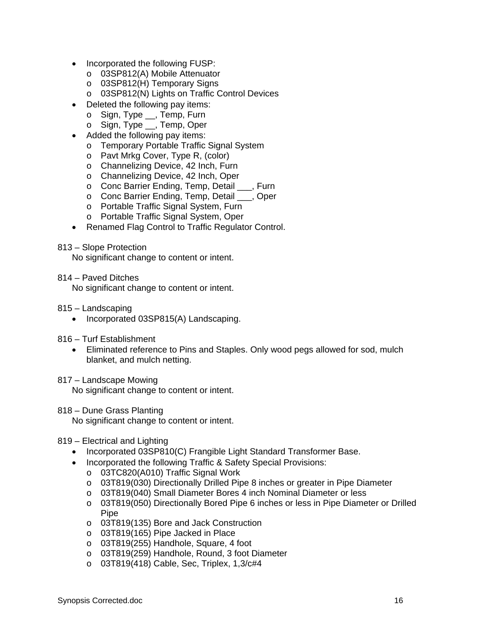- Incorporated the following FUSP:
	- o 03SP812(A) Mobile Attenuator
	- o 03SP812(H) Temporary Signs
	- o 03SP812(N) Lights on Traffic Control Devices
- Deleted the following pay items:
	- o Sign, Type \_\_, Temp, Furn
	- o Sign, Type \_\_, Temp, Oper
- Added the following pay items:
	- o Temporary Portable Traffic Signal System
	- o Pavt Mrkg Cover, Type R, (color)
	- o Channelizing Device, 42 Inch, Furn
	- o Channelizing Device, 42 Inch, Oper
	- o Conc Barrier Ending, Temp, Detail \_\_\_, Furn
	- o Conc Barrier Ending, Temp, Detail \_\_\_, Oper
	- o Portable Traffic Signal System, Furn
	- o Portable Traffic Signal System, Oper
- Renamed Flag Control to Traffic Regulator Control.

#### 813 – Slope Protection

No significant change to content or intent.

814 – Paved Ditches

No significant change to content or intent.

- 815 Landscaping
	- Incorporated 03SP815(A) Landscaping.
- 816 Turf Establishment
	- Eliminated reference to Pins and Staples. Only wood pegs allowed for sod, mulch blanket, and mulch netting.

### 817 – Landscape Mowing

No significant change to content or intent.

#### 818 – Dune Grass Planting

No significant change to content or intent.

### 819 – Electrical and Lighting

- Incorporated 03SP810(C) Frangible Light Standard Transformer Base.
- Incorporated the following Traffic & Safety Special Provisions:
	- o 03TC820(A010) Traffic Signal Work
	- o 03T819(030) Directionally Drilled Pipe 8 inches or greater in Pipe Diameter
	- o 03T819(040) Small Diameter Bores 4 inch Nominal Diameter or less
	- o 03T819(050) Directionally Bored Pipe 6 inches or less in Pipe Diameter or Drilled Pipe
	- o 03T819(135) Bore and Jack Construction
	- o 03T819(165) Pipe Jacked in Place
	- o 03T819(255) Handhole, Square, 4 foot
	- o 03T819(259) Handhole, Round, 3 foot Diameter
	- o 03T819(418) Cable, Sec, Triplex, 1,3/c#4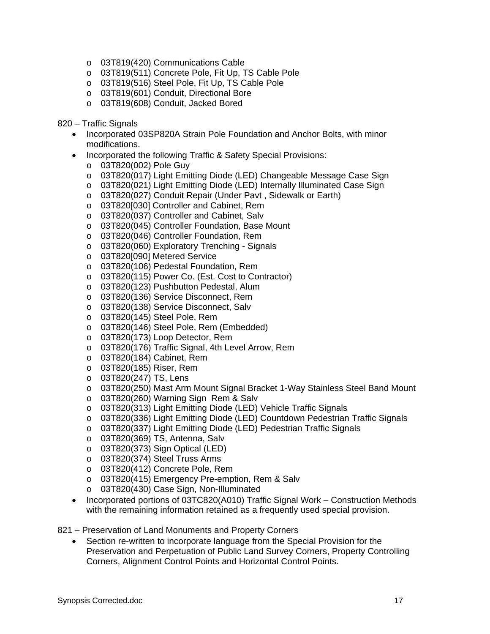- o 03T819(420) Communications Cable
- o 03T819(511) Concrete Pole, Fit Up, TS Cable Pole
- o 03T819(516) Steel Pole, Fit Up, TS Cable Pole
- o 03T819(601) Conduit, Directional Bore
- o 03T819(608) Conduit, Jacked Bored

820 – Traffic Signals

- Incorporated 03SP820A Strain Pole Foundation and Anchor Bolts, with minor modifications.
- Incorporated the following Traffic & Safety Special Provisions:
	- o 03T820(002) Pole Guy
	- o 03T820(017) Light Emitting Diode (LED) Changeable Message Case Sign
	- o 03T820(021) Light Emitting Diode (LED) Internally Illuminated Case Sign
	- o 03T820(027) Conduit Repair (Under Pavt , Sidewalk or Earth)
	- o 03T820[030] Controller and Cabinet, Rem
	- o 03T820(037) Controller and Cabinet, Salv
	- o 03T820(045) Controller Foundation, Base Mount
	- o 03T820(046) Controller Foundation, Rem
	- o 03T820(060) Exploratory Trenching Signals
	- o 03T820[090] Metered Service
	- o 03T820(106) Pedestal Foundation, Rem
	- o 03T820(115) Power Co. (Est. Cost to Contractor)
	- o 03T820(123) Pushbutton Pedestal, Alum
	- o 03T820(136) Service Disconnect, Rem
	- o 03T820(138) Service Disconnect, Salv
	- o 03T820(145) Steel Pole, Rem
	- o 03T820(146) Steel Pole, Rem (Embedded)
	- o 03T820(173) Loop Detector, Rem
	- o 03T820(176) Traffic Signal, 4th Level Arrow, Rem
	- o 03T820(184) Cabinet, Rem
	- o 03T820(185) Riser, Rem
	- o 03T820(247) TS, Lens
	- o 03T820(250) Mast Arm Mount Signal Bracket 1-Way Stainless Steel Band Mount
	- o 03T820(260) Warning Sign Rem & Salv
	- o 03T820(313) Light Emitting Diode (LED) Vehicle Traffic Signals
	- o 03T820(336) Light Emitting Diode (LED) Countdown Pedestrian Traffic Signals
	- o 03T820(337) Light Emitting Diode (LED) Pedestrian Traffic Signals
	- o 03T820(369) TS, Antenna, Salv
	- o 03T820(373) Sign Optical (LED)
	- o 03T820(374) Steel Truss Arms
	- o 03T820(412) Concrete Pole, Rem
	- o 03T820(415) Emergency Pre-emption, Rem & Salv
	- o 03T820(430) Case Sign, Non-Illuminated
- Incorporated portions of 03TC820(A010) Traffic Signal Work Construction Methods with the remaining information retained as a frequently used special provision.
- 821 Preservation of Land Monuments and Property Corners
	- Section re-written to incorporate language from the Special Provision for the Preservation and Perpetuation of Public Land Survey Corners, Property Controlling Corners, Alignment Control Points and Horizontal Control Points.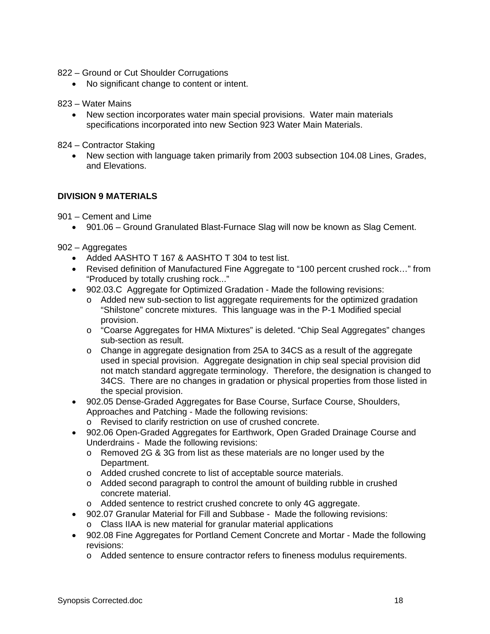- 822 Ground or Cut Shoulder Corrugations
	- No significant change to content or intent.
- 823 Water Mains
	- New section incorporates water main special provisions. Water main materials specifications incorporated into new Section 923 Water Main Materials.
- 824 Contractor Staking
	- New section with language taken primarily from 2003 subsection 104.08 Lines, Grades, and Elevations.

# **DIVISION 9 MATERIALS**

901 – Cement and Lime

• 901.06 – Ground Granulated Blast-Furnace Slag will now be known as Slag Cement.

902 – Aggregates

- Added AASHTO T 167 & AASHTO T 304 to test list.
- Revised definition of Manufactured Fine Aggregate to "100 percent crushed rock..." from "Produced by totally crushing rock..."
- 902.03.C Aggregate for Optimized Gradation Made the following revisions:
	- o Added new sub-section to list aggregate requirements for the optimized gradation "Shilstone" concrete mixtures. This language was in the P-1 Modified special provision.
	- o "Coarse Aggregates for HMA Mixtures" is deleted. "Chip Seal Aggregates" changes sub-section as result.
	- o Change in aggregate designation from 25A to 34CS as a result of the aggregate used in special provision. Aggregate designation in chip seal special provision did not match standard aggregate terminology. Therefore, the designation is changed to 34CS. There are no changes in gradation or physical properties from those listed in the special provision.
- 902.05 Dense-Graded Aggregates for Base Course, Surface Course, Shoulders, Approaches and Patching - Made the following revisions:
	- o Revised to clarify restriction on use of crushed concrete.
- 902.06 Open-Graded Aggregates for Earthwork, Open Graded Drainage Course and Underdrains - Made the following revisions:
	- o Removed 2G & 3G from list as these materials are no longer used by the Department.
	- o Added crushed concrete to list of acceptable source materials.
	- o Added second paragraph to control the amount of building rubble in crushed concrete material.
	- o Added sentence to restrict crushed concrete to only 4G aggregate.
- 902.07 Granular Material for Fill and Subbase Made the following revisions: o Class IIAA is new material for granular material applications
- 902.08 Fine Aggregates for Portland Cement Concrete and Mortar Made the following revisions:
	- o Added sentence to ensure contractor refers to fineness modulus requirements.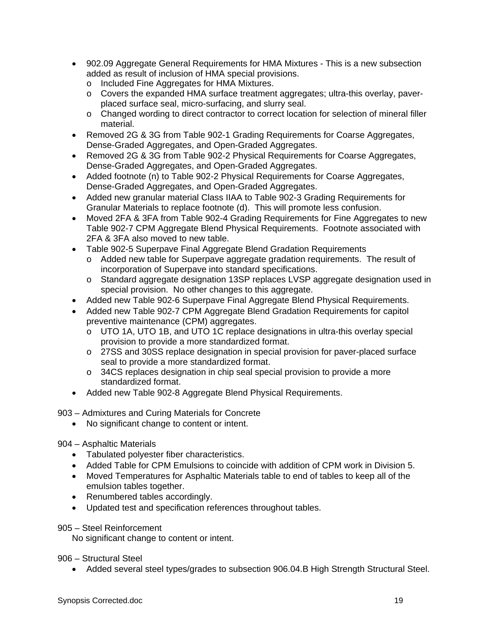- 902.09 Aggregate General Requirements for HMA Mixtures This is a new subsection added as result of inclusion of HMA special provisions.
	- o Included Fine Aggregates for HMA Mixtures.
	- $\circ$  Covers the expanded HMA surface treatment aggregates; ultra-this overlay, paverplaced surface seal, micro-surfacing, and slurry seal.
	- o Changed wording to direct contractor to correct location for selection of mineral filler material.
- Removed 2G & 3G from Table 902-1 Grading Requirements for Coarse Aggregates, Dense-Graded Aggregates, and Open-Graded Aggregates.
- Removed 2G & 3G from Table 902-2 Physical Requirements for Coarse Aggregates, Dense-Graded Aggregates, and Open-Graded Aggregates.
- Added footnote (n) to Table 902-2 Physical Requirements for Coarse Aggregates, Dense-Graded Aggregates, and Open-Graded Aggregates.
- Added new granular material Class IIAA to Table 902-3 Grading Requirements for Granular Materials to replace footnote (d). This will promote less confusion.
- Moved 2FA & 3FA from Table 902-4 Grading Requirements for Fine Aggregates to new Table 902-7 CPM Aggregate Blend Physical Requirements. Footnote associated with 2FA & 3FA also moved to new table.
- Table 902-5 Superpave Final Aggregate Blend Gradation Requirements
	- o Added new table for Superpave aggregate gradation requirements. The result of incorporation of Superpave into standard specifications.
	- o Standard aggregate designation 13SP replaces LVSP aggregate designation used in special provision. No other changes to this aggregate.
- Added new Table 902-6 Superpave Final Aggregate Blend Physical Requirements.
- Added new Table 902-7 CPM Aggregate Blend Gradation Requirements for capitol preventive maintenance (CPM) aggregates.
	- o UTO 1A, UTO 1B, and UTO 1C replace designations in ultra-this overlay special provision to provide a more standardized format.
	- o 27SS and 30SS replace designation in special provision for paver-placed surface seal to provide a more standardized format.
	- $\circ$  34CS replaces designation in chip seal special provision to provide a more standardized format.
- Added new Table 902-8 Aggregate Blend Physical Requirements.

903 – Admixtures and Curing Materials for Concrete

• No significant change to content or intent.

### 904 – Asphaltic Materials

- Tabulated polyester fiber characteristics.
- Added Table for CPM Emulsions to coincide with addition of CPM work in Division 5.
- Moved Temperatures for Asphaltic Materials table to end of tables to keep all of the emulsion tables together.
- Renumbered tables accordingly.
- Updated test and specification references throughout tables.
- 905 Steel Reinforcement

No significant change to content or intent.

906 – Structural Steel

• Added several steel types/grades to subsection 906.04.B High Strength Structural Steel.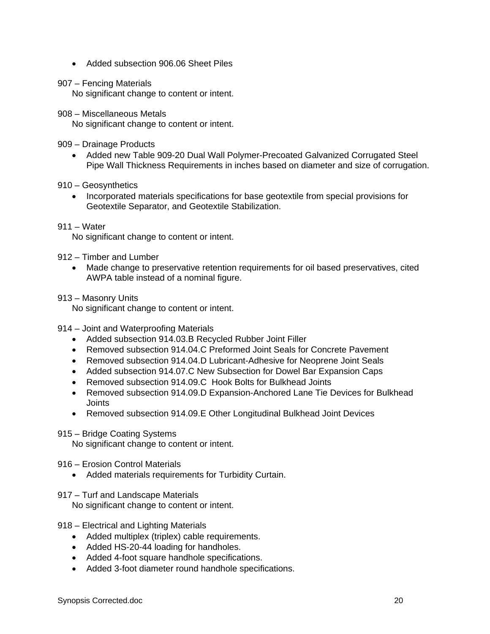- Added subsection 906.06 Sheet Piles
- 907 Fencing Materials

No significant change to content or intent.

908 – Miscellaneous Metals

No significant change to content or intent.

909 – Drainage Products

- Added new Table 909-20 Dual Wall Polymer-Precoated Galvanized Corrugated Steel Pipe Wall Thickness Requirements in inches based on diameter and size of corrugation.
- 910 Geosynthetics
	- Incorporated materials specifications for base geotextile from special provisions for Geotextile Separator, and Geotextile Stabilization.

911 – Water

No significant change to content or intent.

# 912 – Timber and Lumber

- Made change to preservative retention requirements for oil based preservatives, cited AWPA table instead of a nominal figure.
- 913 Masonry Units

No significant change to content or intent.

- 914 Joint and Waterproofing Materials
	- Added subsection 914.03.B Recycled Rubber Joint Filler
	- Removed subsection 914.04.C Preformed Joint Seals for Concrete Pavement
	- Removed subsection 914.04.D Lubricant-Adhesive for Neoprene Joint Seals
	- Added subsection 914.07.C New Subsection for Dowel Bar Expansion Caps
	- Removed subsection 914.09.C Hook Bolts for Bulkhead Joints
	- Removed subsection 914.09.D Expansion-Anchored Lane Tie Devices for Bulkhead Joints
	- Removed subsection 914.09.E Other Longitudinal Bulkhead Joint Devices

### 915 – Bridge Coating Systems

No significant change to content or intent.

916 – Erosion Control Materials

- Added materials requirements for Turbidity Curtain.
- 917 Turf and Landscape Materials

No significant change to content or intent.

- 918 Electrical and Lighting Materials
	- Added multiplex (triplex) cable requirements.
	- Added HS-20-44 loading for handholes.
	- Added 4-foot square handhole specifications.
	- Added 3-foot diameter round handhole specifications.